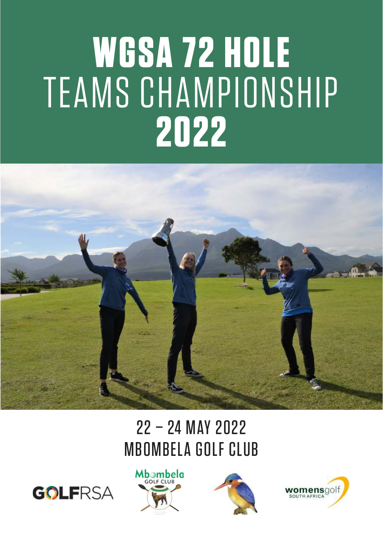# **WGSA 72 HOLE**  TEAMS CHAMPIONSHIP **2022**



# 22 – 24 MAY 2022 MBOMBELA GOLF CLUB







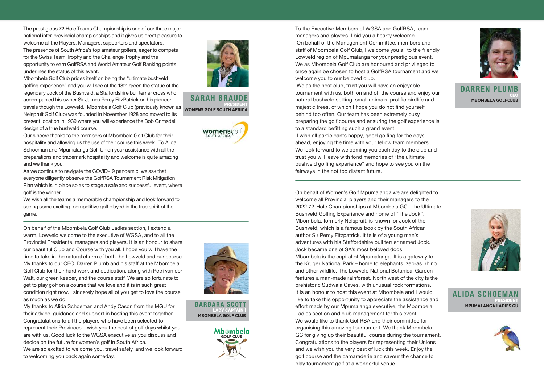The prestigious 72 Hole Teams Championship is one of our three major national inter-provincial championships and it gives us great pleasure to welcome all the Players, Managers, supporters and spectators. The presence of South Africa's top amateur golfers, eager to compete for the Swiss Team Trophy and the Challenge Trophy and the opportunity to earn GolfRSA and World Amateur Golf Ranking points underlines the status of this event.

Mbombela Golf Club prides itself on being the "ultimate bushveld golfing experience" and you will see at the 18th green the statue of the legendary Jock of the Bushveld, a Staffordshire bull terrier cross who accompanied his owner Sir James Percy FitzPatrick on his pioneer PRESIDENT<br>A travels though the Lowveld. Mbombela Golf Club (previously known as womens colle sollin AFPICA Nelspruit Golf Club) was founded in November 1928 and moved to its present location in 1939 where you will experience the Bob Grimsdell design of a true bushveld course.

Our sincere thanks to the members of Mbombela Golf Club for their hospitality and allowing us the use of their course this week. To Alida Schoeman and Mpumalanga Golf Union your assistance with all the preparations and trademark hospitality and welcome is quite amazing and we thank you.

As we continue to navigate the COVID-19 pandemic, we ask that everyone diligently observe the GolfRSA Tournament Risk Mitigation Plan which is in place so as to stage a safe and successful event, where golf is the winner.

We wish all the teams a memorable championship and look forward to seeing some exciting, competitive golf played in the true spirit of the game.

On behalf of the Mbombela Golf Club Ladies section, I extend a warm, Lowveld welcome to the executive of WGSA, and to all the Provincial Presidents, managers and players. It is an honour to share our beautiful Club and Course with you all. I hope you will have the time to take in the natural charm of both the Lowveld and our course. My thanks to our CEO, Darren Plumb and his staff at the Mbombela Golf Club for their hard work and dedication, along with Petri van der Walt, our green keeper, and the course staff. We are so fortunate to get to play golf on a course that we love and it is in such great condition right now. I sincerely hope all of you get to love the course as much as we do.

My thanks to Alida Schoeman and Andy Cason from the MGU for their advice, guidance and support in hosting this event together. Congratulations to all the players who have been selected to represent their Provinces. I wish you the best of golf days whilst you are with us. Good luck to the WGSA executive as you discuss and decide on the future for women's golf in South Africa.

We are so excited to welcome you, travel safely, and we look forward to welcoming you back again someday.





#### SARAH BRAUDE **WOMENS GOLF SOUTH AFRICA**



BARBARA SCOTT LADY CAPTAIN | **MBOMBELA GOLF CLUB**

> Mhambela **GOLF CLUB**

To the Executive Members of WGSA and GolfRSA, team managers and players, I bid you a hearty welcome. On behalf of the Management Committee, members and staff of Mbombela Golf Club, I welcome you all to the friendly Lowveld region of Mpumalanga for your prestigious event. We as Mbombela Golf Club are honoured and privileged to once again be chosen to host a GolfRSA tournament and we welcome you to our beloved club.

 We as the host club, trust you will have an enjoyable tournament with us, both on and off the course and enjoy our natural bushveld setting, small animals, prolific birdlife and majestic trees, of which I hope you do not find yourself behind too often. Our team has been extremely busy preparing the golf course and ensuring the golf experience is to a standard befitting such a grand event.

 I wish all participants happy, good golfing for the days ahead, enjoying the time with your fellow team members. We look forward to welcoming you each day to the club and trust you will leave with fond memories of "the ultimate bushveld golfing experience" and hope to see you on the fairways in the not too distant future.



DARREN PLUME CEO **MBOMBELA GOLFCLUB**

On behalf of Women's Golf Mpumalanga we are delighted to welcome all Provincial players and their managers to the 2022 72-Hole Championships at Mbombela GC - the Ultimate Bushveld Golfing Experience and home of "The Jock". Mbombela, formerly Nelspruit, is known for Jock of the Bushveld, which is a famous book by the South African author Sir Percy Fitzpatrick. It tells of a young man's adventures with his Staffordshire bull terrier named Jock. Jock became one of SA's most beloved dogs. Mbombela is the capital of Mpumalanga. It is a gateway to the Kruger National Park – home to elephants, zebras, rhino and other wildlife. The Lowveld National Botanical Garden features a man-made rainforest. North west of the city is the prehistoric Sudwala Caves, with unusual rock formations. It is an honour to host this event at Mbombela and I would like to take this opportunity to appreciate the assistance and effort made by our Mpumalanga executive, the Mbombela Ladies section and club management for this event. We would like to thank GolfRSA and their committee for organising this amazing tournament. We thank Mbombela GC for giving up their beautiful course during the tournament. Congratulations to the players for representing their Unions and we wish you the very best of luck this week. Enjoy the golf course and the camaraderie and savour the chance to play tournament golf at a wonderful venue.



ALIDA SCHOEMAN PRESIDENT **MPUMALANGA LADIES GU**

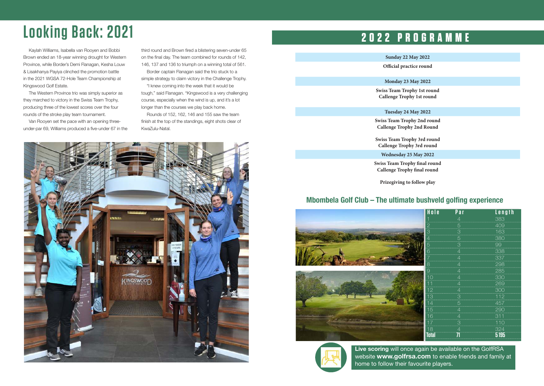# **Looking Back: 2021**

Kaylah Williams, Isabella van Rooyen and Bobbi Brown ended an 18-year winning drought for Western Province, while Border's Demi Flanagan, Kesha Louw & Lisakhanya Payiya clinched the promotion battle in the 2021 WGSA 72-Hole Team Championship at Kingswood Golf Estate.

The Western Province trio was simply superior as they marched to victory in the Swiss Team Trophy, producing three of the lowest scores over the four rounds of the stroke play team tournament.

Van Rooyen set the pace with an opening threeunder-par 69, Williams produced a five-under 67 in the third round and Brown fired a blistering seven-under 65 on the final day. The team combined for rounds of 142, 146, 137 and 136 to triumph on a winning total of 561. Border captain Flanagan said the trio stuck to a simple strategy to claim victory in the Challenge Trophy. "I knew coming into the week that it would be tough," said Flanagan. "Kingswood is a very challenging course, especially when the wind is up, and it's a lot

longer than the courses we play back home. Rounds of 152, 162, 146 and 155 saw the team finish at the top of the standings, eight shots clear of KwaZulu-Natal.



### **2022 PROGRAMME**

#### **Sunday 22 May 2022**

**Official practice round**

#### **Monday 23 May 2022**

**Swiss Team Trophy 1st round Callenge Trophy 1st round**

#### **Tuesday 24 May 2022**

**Swiss Team Trophy 2nd round Callenge Trophy 2nd Round**

**Swiss Team Trophy 3rd round Callenge Trophy 3rd round**

**Wednesday 25 May 2022**

**Swiss Team Trophy final round Callenge Trophy final round**

**Prizegiving to follow play**

#### **Mbombela Golf Club – The ultimate bushveld golfing experience**

|                            | Hole  | Par            | Length |
|----------------------------|-------|----------------|--------|
|                            |       |                | 383    |
|                            |       | $\overline{5}$ | 409    |
|                            | م.    | 3              | 163    |
|                            |       | b              | 380    |
|                            | h     | 3              | 99     |
|                            |       |                | 338    |
|                            |       |                | 337    |
|                            | 8     |                | 298    |
|                            | У     |                | 285    |
|                            | 10    |                | 330    |
|                            |       |                | 269    |
|                            | 12    |                | 300    |
|                            | 13    | З              | 112    |
| umit                       | 14    | 5              | 457    |
|                            | 15    |                | 290    |
|                            | 16    |                | 311    |
| <b>Called 2000 careers</b> | 17    | З              | 110    |
|                            | 18    |                | 324    |
|                            | Total |                | 5195   |



**Live scoring** will once again be available on the GolfRSA website **www.golfrsa.com** to enable friends and family at home to follow their favourite players.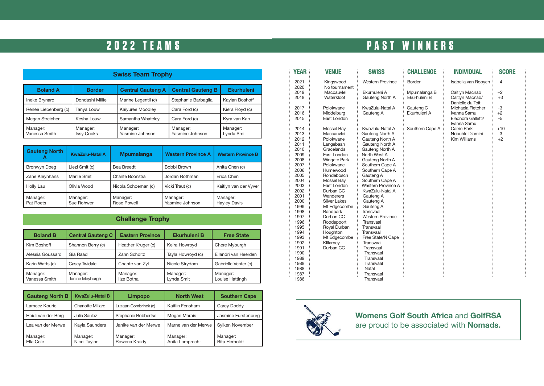### **2022 TEAMS**

| <b>Swiss Team Trophy</b>  |                               |                             |                             |                        |  |
|---------------------------|-------------------------------|-----------------------------|-----------------------------|------------------------|--|
| <b>Boland A</b>           | <b>Border</b>                 | <b>Central Gauteng A</b>    | <b>Central Gauteng B</b>    | <b>Ekurhuleni</b>      |  |
| Ineke Brynard             | Dondashi Millie               | Marine Legentil (c)         | Stephanie Barbaglia         | Kaylan Boshoff         |  |
| Renee Liebenberg (c)      | Tanya Louw                    | Kaiyuree Moodley            | Cara Ford (c)               | Kiera Floyd (c)        |  |
| Megan Streicher           | Kesha Louw                    | Samantha Whateley           | Cara Ford (c)               | Kyra van Kan           |  |
| Manager:<br>Vanessa Smith | Manager:<br><b>Issy Cocks</b> | Manager:<br>Yasmine Johnson | Manager:<br>Yasmine Johnson | Manager:<br>Lynda Smit |  |

| <b>Gauteng North</b>  | <b>KwaZulu-Natal A</b>             | <b>Mpumalanga</b>       | <b>Western Province A</b>   | <b>Western Province B</b>       |  |
|-----------------------|------------------------------------|-------------------------|-----------------------------|---------------------------------|--|
| Bronwyn Doeg          | Liezl Smit (c)                     | Bea Breedt              | Bobbi Brown                 | Anita Chen (c)                  |  |
| Zane Kleynhans        | Marlie Smit                        | Chante Boonstra         | Jordan Rothman              | Erica Chen                      |  |
| Holly Lau             | Olivia Wood<br>Nicola Schoeman (c) |                         | Vicki Traut (c)             | Kaitlyn van der Vyver           |  |
| Manager:<br>Pat Roets | Manager:<br>Sue Rohwer             | Manager:<br>Rose Powell | Manager:<br>Yasmine Johnson | Manager:<br><b>Hayley Davis</b> |  |

#### **Challenge Trophy**

| <b>Boland B</b>           | <b>Central Gauteng C</b>    | <b>Eastern Province</b> | <b>Ekurhuleni B</b>    | <b>Free State</b>           |
|---------------------------|-----------------------------|-------------------------|------------------------|-----------------------------|
| Kim Boshoff               | Shannon Berry (c)           | Heather Kruger (c)      | Keira Howroyd          | Chere Myburgh               |
| Alessia Goussard          | Gia Raad                    | Zahn Scholtz            | Tayla Howroyd (c)      | Ellandri van Heerden        |
| Karin Watts (c)           | <b>Casev Twidale</b>        | Chante van Zyl          | Nicole Strydom         | Gabrielle Venter (c)        |
| Manager:<br>Vanessa Smith | Manager:<br>Janine Meyburgh | Manager:<br>Ilze Botha  | Manager:<br>Lynda Smit | Manager:<br>Louise Hattingh |

| <b>Gauteng North B</b> | <b>KwaZulu-Natal B</b>   | Limpopo                   | <b>North West</b>           | <b>Southern Cape</b>      |
|------------------------|--------------------------|---------------------------|-----------------------------|---------------------------|
| Lameez Kourie          | <b>Charlotte Millard</b> | Luzaan Combrinck (c)      | Kaitlin Fensham             | Carey Doddy               |
| Heidi van der Berg     | Julia Saulez             | Stephanie Robbertse       | Megan Marais                | Jasmine Furstenburg       |
| Lea van der Merwe      | Kayla Saunders           | Janike van der Merwe      | Marne van der Merwe         | Sylken November           |
| Manager:<br>Ella Cole  | Manager:<br>Nicci Taylor | Manager:<br>Rowena Kraidy | Manager:<br>Anita Lamprecht | Manager:<br>Rita Herholdt |

## **PAST WINNERS**

| <b>YEAR</b>  | Venue                      | <b>SWISS</b>                    | <b>CHALLENGE</b> | <b>INDIVIDUAL</b>                   | <b>SCORE</b> |
|--------------|----------------------------|---------------------------------|------------------|-------------------------------------|--------------|
| 2021<br>2020 | Kingswood<br>No tournament | <b>Western Province</b>         | Border           | Isabella van Rooyen                 | $-4$         |
| 2019         | Maccauvlei                 | Ekurhuleni A                    | Mpumalanga B     | Caitlyn Macnab                      | $+2$         |
| 2018         | Waterkloof                 | Gauteng North A                 | Ekurhuleni B     | Caitlyn Macnab/<br>Danielle du Toit | $+3$         |
| 2017         | Polokwane                  | KwaZulu-Natal A                 | Gauteng C        | Michaela Fletcher                   | -3           |
| 2016         | Middelburg                 | Gauteng A                       | Ekurhuleni A     | Ivanna Samu                         | $+2$         |
| 2015         | East London                |                                 |                  | Eleonora Galletti/                  | $-5$         |
|              |                            |                                 |                  | Ivanna Samu                         |              |
| 2014         | Mossel Bay                 | KwaZulu-Natal A                 | Southern Cape A  | Carrie Park                         | $+10$        |
| 2013         | Maccauvlei                 | Gauteng North A                 |                  | Nobuhle Dlamini                     | -3           |
| 2012         | Polokwane                  | Gauteng North A                 |                  | Kim Williams                        | $+2$         |
| 2011         | Langebaan                  | Gauteng North A                 |                  |                                     |              |
| 2010<br>2009 | Gracelands<br>East London  | Gauteng North A<br>North West A |                  |                                     |              |
| 2008         | <b>Wingate Park</b>        | Gauteng North A                 |                  |                                     |              |
| 2007         | Polokwane                  | Southern Cape A                 |                  |                                     |              |
| 2006         | Humewood                   | Southern Cape A                 |                  |                                     |              |
| 2005         | Rondebosch                 | Gauteng A                       |                  |                                     |              |
| 2004         | Mossel Bay                 | Southern Cape A                 |                  |                                     |              |
| 2003         | East London                | Western Province A              |                  |                                     |              |
| 2002         | Durban CC                  | KwaZulu-Natal A                 |                  |                                     |              |
| 2001         | Wanderers                  | Gauteng A                       |                  |                                     |              |
| 2000         | <b>Silver Lakes</b>        | Gauteng A                       |                  |                                     |              |
| 1999         | Mt Edgecombe               | Gauteng A                       |                  |                                     |              |
| 1998         | Randpark                   | Transvaal                       |                  |                                     |              |
| 1997         | Durban CC                  | <b>Western Province</b>         |                  |                                     |              |
| 1996         | Roodepoort                 | Transvaal                       |                  |                                     |              |
| 1995         | Royal Durban               | Transvaal                       |                  |                                     |              |
| 1994         | Houghton                   | Transvaal                       |                  |                                     |              |
| 1993         | Mt Edgecombe               | Free State/N Cape               |                  |                                     |              |
| 1992         | Killarney                  | Transvaal                       |                  |                                     |              |
| 1991         | Durban CC                  | Transvaal                       |                  |                                     |              |
| 1990<br>1989 |                            | Transvaal<br>Transvaal          |                  |                                     |              |
| 1988         |                            | Transvaal                       |                  |                                     |              |
| 1988         |                            | Natal                           |                  |                                     |              |
| 1987         |                            | Transvaal                       |                  |                                     |              |
| 1986         |                            | Transvaal                       |                  |                                     |              |



**Womens Golf South Africa** and **GolfRSA** are proud to be associated with **Nomads.**